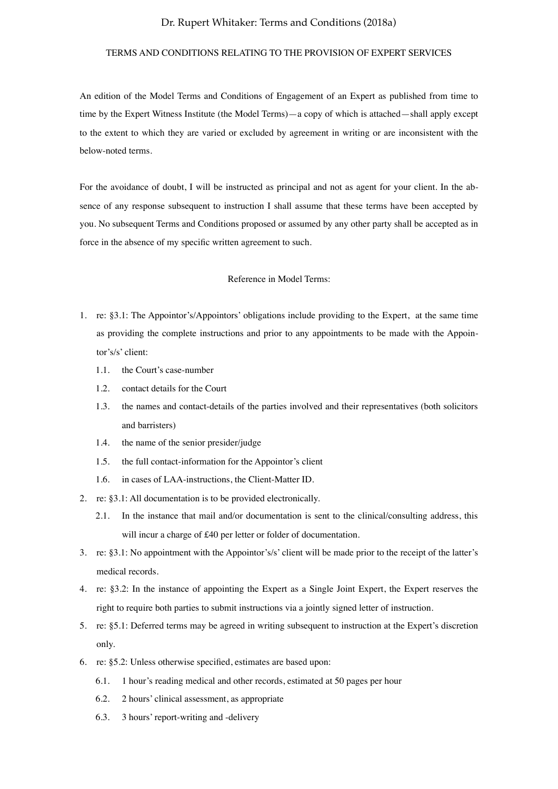### TERMS AND CONDITIONS RELATING TO THE PROVISION OF EXPERT SERVICES

An edition of the Model Terms and Conditions of Engagement of an Expert as published from time to time by the Expert Witness Institute (the Model Terms)—a copy of which is attached—shall apply except to the extent to which they are varied or excluded by agreement in writing or are inconsistent with the below-noted terms.

For the avoidance of doubt, I will be instructed as principal and not as agent for your client. In the absence of any response subsequent to instruction I shall assume that these terms have been accepted by you. No subsequent Terms and Conditions proposed or assumed by any other party shall be accepted as in force in the absence of my specific written agreement to such.

### Reference in Model Terms:

- 1. re: §3.1: The Appointor's/Appointors' obligations include providing to the Expert, at the same time as providing the complete instructions and prior to any appointments to be made with the Appointor's/s' client:
	- 1.1. the Court's case-number
	- 1.2. contact details for the Court
	- 1.3. the names and contact-details of the parties involved and their representatives (both solicitors and barristers)
	- 1.4. the name of the senior presider/judge
	- 1.5. the full contact-information for the Appointor's client
	- 1.6. in cases of LAA-instructions, the Client-Matter ID.
- 2. re: §3.1: All documentation is to be provided electronically.
	- 2.1. In the instance that mail and/or documentation is sent to the clinical/consulting address, this will incur a charge of £40 per letter or folder of documentation.
- 3. re: §3.1: No appointment with the Appointor's/s' client will be made prior to the receipt of the latter's medical records.
- 4. re: §3.2: In the instance of appointing the Expert as a Single Joint Expert, the Expert reserves the right to require both parties to submit instructions via a jointly signed letter of instruction.
- 5. re: §5.1: Deferred terms may be agreed in writing subsequent to instruction at the Expert's discretion only.
- 6. re: §5.2: Unless otherwise specified, estimates are based upon:
	- 6.1. 1 hour's reading medical and other records, estimated at 50 pages per hour
	- 6.2. 2 hours' clinical assessment, as appropriate
	- 6.3. 3 hours' report-writing and -delivery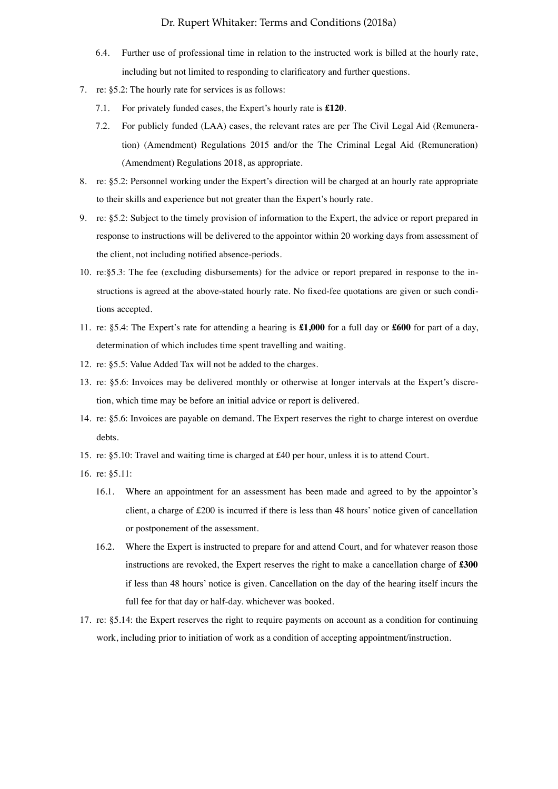- 6.4. Further use of professional time in relation to the instructed work is billed at the hourly rate, including but not limited to responding to clarificatory and further questions.
- 7. re: §5.2: The hourly rate for services is as follows:
	- 7.1. For privately funded cases, the Expert's hourly rate is **£120**.
	- 7.2. For publicly funded (LAA) cases, the relevant rates are per The Civil Legal Aid (Remuneration) (Amendment) Regulations 2015 and/or the The Criminal Legal Aid (Remuneration) (Amendment) Regulations 2018, as appropriate.
- 8. re: §5.2: Personnel working under the Expert's direction will be charged at an hourly rate appropriate to their skills and experience but not greater than the Expert's hourly rate.
- 9. re: §5.2: Subject to the timely provision of information to the Expert, the advice or report prepared in response to instructions will be delivered to the appointor within 20 working days from assessment of the client, not including notified absence-periods.
- 10. re:§5.3: The fee (excluding disbursements) for the advice or report prepared in response to the instructions is agreed at the above-stated hourly rate. No fixed-fee quotations are given or such conditions accepted.
- 11. re: §5.4: The Expert's rate for attending a hearing is **£1,000** for a full day or **£600** for part of a day, determination of which includes time spent travelling and waiting.
- 12. re: §5.5: Value Added Tax will not be added to the charges.
- 13. re: §5.6: Invoices may be delivered monthly or otherwise at longer intervals at the Expert's discretion, which time may be before an initial advice or report is delivered.
- 14. re: §5.6: Invoices are payable on demand. The Expert reserves the right to charge interest on overdue debts.
- 15. re: §5.10: Travel and waiting time is charged at £40 per hour, unless it is to attend Court.
- 16. re: §5.11:
	- 16.1. Where an appointment for an assessment has been made and agreed to by the appointor's client, a charge of £200 is incurred if there is less than 48 hours' notice given of cancellation or postponement of the assessment.
	- 16.2. Where the Expert is instructed to prepare for and attend Court, and for whatever reason those instructions are revoked, the Expert reserves the right to make a cancellation charge of **£300** if less than 48 hours' notice is given. Cancellation on the day of the hearing itself incurs the full fee for that day or half-day. whichever was booked.
- 17. re: §5.14: the Expert reserves the right to require payments on account as a condition for continuing work, including prior to initiation of work as a condition of accepting appointment/instruction.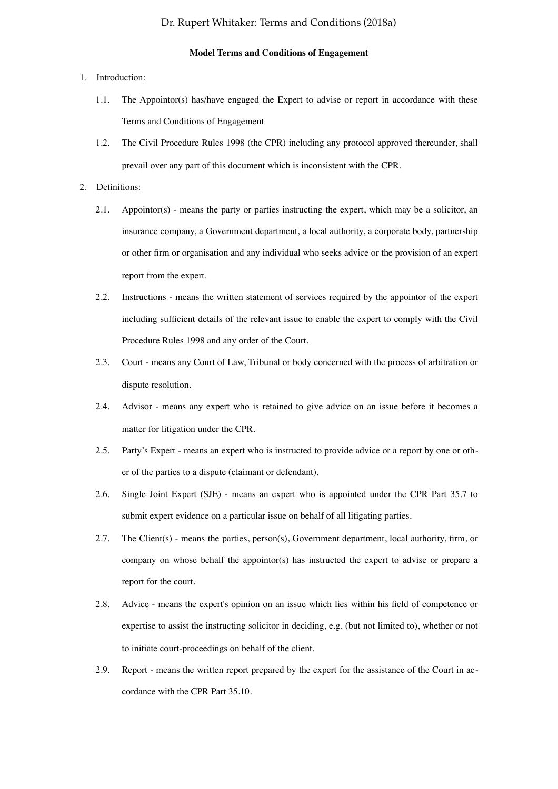### **Model Terms and Conditions of Engagement**

### 1. Introduction:

- 1.1. The Appointor(s) has/have engaged the Expert to advise or report in accordance with these Terms and Conditions of Engagement
- 1.2. The Civil Procedure Rules 1998 (the CPR) including any protocol approved thereunder, shall prevail over any part of this document which is inconsistent with the CPR.

### 2. Definitions:

- 2.1. Appointor(s) means the party or parties instructing the expert, which may be a solicitor, an insurance company, a Government department, a local authority, a corporate body, partnership or other firm or organisation and any individual who seeks advice or the provision of an expert report from the expert.
- 2.2. Instructions means the written statement of services required by the appointor of the expert including sufficient details of the relevant issue to enable the expert to comply with the Civil Procedure Rules 1998 and any order of the Court.
- 2.3. Court means any Court of Law, Tribunal or body concerned with the process of arbitration or dispute resolution.
- 2.4. Advisor means any expert who is retained to give advice on an issue before it becomes a matter for litigation under the CPR.
- 2.5. Party's Expert means an expert who is instructed to provide advice or a report by one or other of the parties to a dispute (claimant or defendant).
- 2.6. Single Joint Expert (SJE) means an expert who is appointed under the CPR Part 35.7 to submit expert evidence on a particular issue on behalf of all litigating parties.
- 2.7. The Client(s) means the parties, person(s), Government department, local authority, firm, or company on whose behalf the appointor(s) has instructed the expert to advise or prepare a report for the court.
- 2.8. Advice means the expert's opinion on an issue which lies within his field of competence or expertise to assist the instructing solicitor in deciding, e.g. (but not limited to), whether or not to initiate court-proceedings on behalf of the client.
- 2.9. Report means the written report prepared by the expert for the assistance of the Court in accordance with the CPR Part 35.10.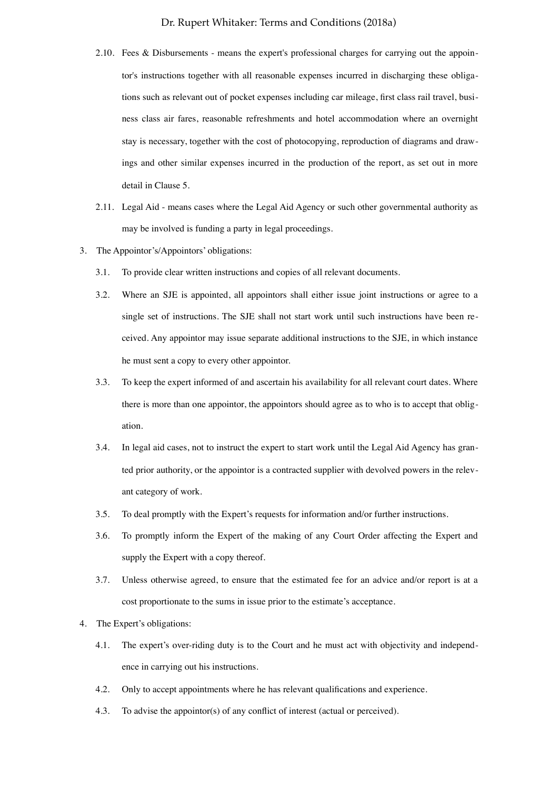- 2.10. Fees & Disbursements means the expert's professional charges for carrying out the appointor's instructions together with all reasonable expenses incurred in discharging these obligations such as relevant out of pocket expenses including car mileage, first class rail travel, business class air fares, reasonable refreshments and hotel accommodation where an overnight stay is necessary, together with the cost of photocopying, reproduction of diagrams and drawings and other similar expenses incurred in the production of the report, as set out in more detail in Clause 5.
- 2.11. Legal Aid means cases where the Legal Aid Agency or such other governmental authority as may be involved is funding a party in legal proceedings.
- 3. The Appointor's/Appointors' obligations:
	- 3.1. To provide clear written instructions and copies of all relevant documents.
	- 3.2. Where an SJE is appointed, all appointors shall either issue joint instructions or agree to a single set of instructions. The SJE shall not start work until such instructions have been received. Any appointor may issue separate additional instructions to the SJE, in which instance he must sent a copy to every other appointor.
	- 3.3. To keep the expert informed of and ascertain his availability for all relevant court dates. Where there is more than one appointor, the appointors should agree as to who is to accept that obligation.
	- 3.4. In legal aid cases, not to instruct the expert to start work until the Legal Aid Agency has granted prior authority, or the appointor is a contracted supplier with devolved powers in the relevant category of work.
	- 3.5. To deal promptly with the Expert's requests for information and/or further instructions.
	- 3.6. To promptly inform the Expert of the making of any Court Order affecting the Expert and supply the Expert with a copy thereof.
	- 3.7. Unless otherwise agreed, to ensure that the estimated fee for an advice and/or report is at a cost proportionate to the sums in issue prior to the estimate's acceptance.
- 4. The Expert's obligations:
	- 4.1. The expert's over-riding duty is to the Court and he must act with objectivity and independence in carrying out his instructions.
	- 4.2. Only to accept appointments where he has relevant qualifications and experience.
	- 4.3. To advise the appointor(s) of any conflict of interest (actual or perceived).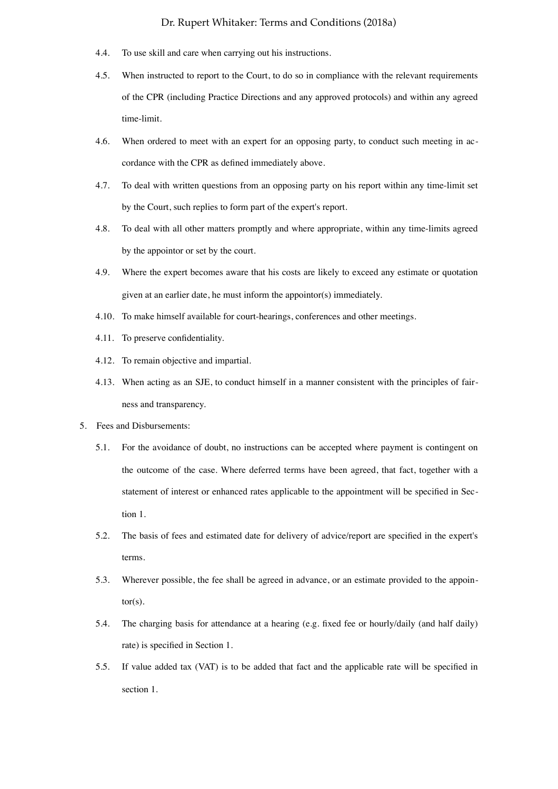- 4.4. To use skill and care when carrying out his instructions.
- 4.5. When instructed to report to the Court, to do so in compliance with the relevant requirements of the CPR (including Practice Directions and any approved protocols) and within any agreed time-limit.
- 4.6. When ordered to meet with an expert for an opposing party, to conduct such meeting in accordance with the CPR as defined immediately above.
- 4.7. To deal with written questions from an opposing party on his report within any time-limit set by the Court, such replies to form part of the expert's report.
- 4.8. To deal with all other matters promptly and where appropriate, within any time-limits agreed by the appointor or set by the court.
- 4.9. Where the expert becomes aware that his costs are likely to exceed any estimate or quotation given at an earlier date, he must inform the appointor(s) immediately.
- 4.10. To make himself available for court-hearings, conferences and other meetings.
- 4.11. To preserve confidentiality.
- 4.12. To remain objective and impartial.
- 4.13. When acting as an SJE, to conduct himself in a manner consistent with the principles of fairness and transparency.
- 5. Fees and Disbursements:
	- 5.1. For the avoidance of doubt, no instructions can be accepted where payment is contingent on the outcome of the case. Where deferred terms have been agreed, that fact, together with a statement of interest or enhanced rates applicable to the appointment will be specified in Section 1.
	- 5.2. The basis of fees and estimated date for delivery of advice/report are specified in the expert's terms.
	- 5.3. Wherever possible, the fee shall be agreed in advance, or an estimate provided to the appointor(s).
	- 5.4. The charging basis for attendance at a hearing (e.g. fixed fee or hourly/daily (and half daily) rate) is specified in Section 1.
	- 5.5. If value added tax (VAT) is to be added that fact and the applicable rate will be specified in section 1.